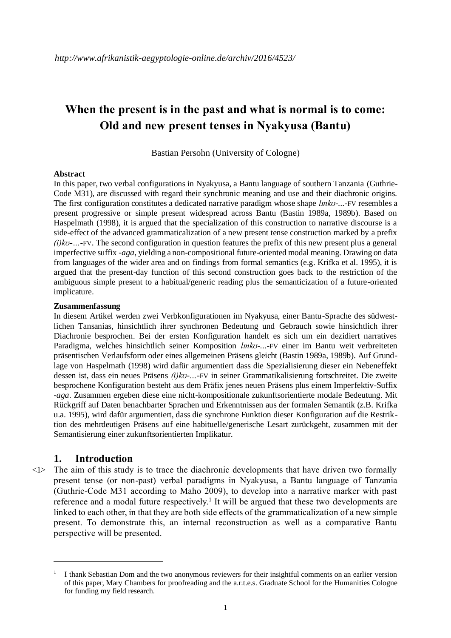# **When the present is in the past and what is normal is to come: Old and new present tenses in Nyakyusa (Bantu)**

Bastian Persohn (University of Cologne)

#### **Abstract**

In this paper, two verbal configurations in Nyakyusa, a Bantu language of southern Tanzania (Guthrie-Code M31), are discussed with regard their synchronic meaning and use and their diachronic origins. The first configuration constitutes a dedicated narrative paradigm whose shape *lmko*-...-FV resembles a present progressive or simple present widespread across Bantu (Bastin 1989a, 1989b). Based on Haspelmath (1998), it is argued that the specialization of this construction to narrative discourse is a side-effect of the advanced grammaticalization of a new present tense construction marked by a prefix *(i)kʊ-…-*FV. The second configuration in question features the prefix of this new present plus a general imperfective suffix -*aga*, yielding a non-compositional future-oriented modal meaning. Drawing on data from languages of the wider area and on findings from formal semantics (e.g. Krifka et al. 1995), it is argued that the present-day function of this second construction goes back to the restriction of the ambiguous simple present to a habitual/generic reading plus the semanticization of a future-oriented implicature.

#### **Zusammenfassung**

In diesem Artikel werden zwei Verbkonfigurationen im Nyakyusa, einer Bantu-Sprache des südwestlichen Tansanias, hinsichtlich ihrer synchronen Bedeutung und Gebrauch sowie hinsichtlich ihrer Diachronie besprochen. Bei der ersten Konfiguration handelt es sich um ein dezidiert narratives Paradigma, welches hinsichtlich seiner Komposition *lmko-...-*FV einer im Bantu weit verbreiteten präsentischen Verlaufsform oder eines allgemeinen Präsens gleicht (Bastin 1989a, 1989b). Auf Grundlage von Haspelmath (1998) wird dafür argumentiert dass die Spezialisierung dieser ein Nebeneffekt dessen ist, dass ein neues Präsens *(i)kʊ-…-*FV in seiner Grammatikalisierung fortschreitet. Die zweite besprochene Konfiguration besteht aus dem Präfix jenes neuen Präsens plus einem Imperfektiv-Suffix -*aga*. Zusammen ergeben diese eine nicht-kompositionale zukunftsorientierte modale Bedeutung. Mit Rückgriff auf Daten benachbarter Sprachen und Erkenntnissen aus der formalen Semantik (z.B. Krifka u.a. 1995), wird dafür argumentiert, dass die synchrone Funktion dieser Konfiguration auf die Restriktion des mehrdeutigen Präsens auf eine habituelle/generische Lesart zurückgeht, zusammen mit der Semantisierung einer zukunftsorientierten Implikatur.

### **1. Introduction**

 $\langle 1 \rangle$  The aim of this study is to trace the diachronic developments that have driven two formally present tense (or non-past) verbal paradigms in Nyakyusa, a Bantu language of Tanzania (Guthrie-Code M31 according to Maho 2009), to develop into a narrative marker with past reference and a modal future respectively.<sup>1</sup> It will be argued that these two developments are linked to each other, in that they are both side effects of the grammaticalization of a new simple present. To demonstrate this, an internal reconstruction as well as a comparative Bantu perspective will be presented.

<sup>1</sup> I thank Sebastian Dom and the two anonymous reviewers for their insightful comments on an earlier version of this paper, Mary Chambers for proofreading and the a.r.t.e.s. Graduate School for the Humanities Cologne for funding my field research.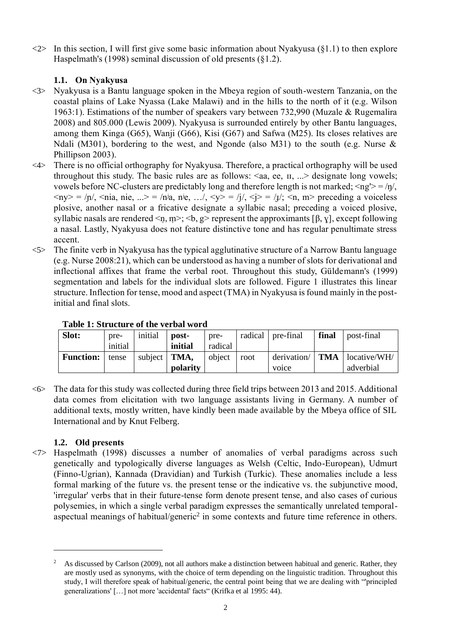$\langle 2 \rangle$  In this section, I will first give some basic information about Nyakyusa (§1.1) to then explore Haspelmath's (1998) seminal discussion of old presents (§1.2).

## **1.1. On Nyakyusa**

- <3> Nyakyusa is a Bantu language spoken in the Mbeya region of south-western Tanzania, on the coastal plains of Lake Nyassa (Lake Malawi) and in the hills to the north of it (e.g. Wilson 1963:1). Estimations of the number of speakers vary between 732,990 (Muzale & Rugemalira 2008) and 805.000 (Lewis 2009). Nyakyusa is surrounded entirely by other Bantu languages, among them Kinga (G65), Wanji (G66), Kisi (G67) and Safwa (M25). Its closes relatives are Ndali (M301), bordering to the west, and Ngonde (also M31) to the south (e.g. Nurse & Phillipson 2003).
- <4> There is no official orthography for Nyakyusa. Therefore, a practical orthography will be used throughout this study. The basic rules are as follows:  $\langle$ aa, ee,  $\pi$ , ... $>$  designate long vowels; vowels before NC-clusters are predictably long and therefore length is not marked;  $\langle ng \rangle = / \eta /$ ,  $\langle ny \rangle = |n\rangle$ ,  $\langle nia, nie, ... \rangle = |nia, nie, ... \rangle$ ,  $\langle y \rangle = |j\rangle$ ,  $\langle i \rangle = |j\rangle$ ;  $\langle n, m \rangle$  preceding a voiceless plosive, another nasal or a fricative designate a syllabic nasal; preceding a voiced plosive, syllabic nasals are rendered  $\leq n, m \geq \leq b, g \geq$  represent the approximants [β, γ], except following a nasal. Lastly, Nyakyusa does not feature distinctive tone and has regular penultimate stress accent.
- $\langle 5 \rangle$  The finite verb in Nyakyusa has the typical agglutinative structure of a Narrow Bantu language (e.g. Nurse 2008:21), which can be understood as having a number of slots for derivational and inflectional affixes that frame the verbal root. Throughout this study, Güldemann's (1999) segmentation and labels for the individual slots are followed. Figure 1 illustrates this linear structure. Inflection for tense, mood and aspect (TMA) in Nyakyusa is found mainly in the postinitial and final slots.

| Slot:            | pre-<br>initial | initial              | post-<br>initial | pre-<br>radical |      | radical   pre-final  | final | post-final                |
|------------------|-----------------|----------------------|------------------|-----------------|------|----------------------|-------|---------------------------|
| <b>Function:</b> | tense           | subject $\vert$ TMA, | polarity         | object          | root | derivation/<br>voice | TMA   | locative/WH/<br>adverbial |

**Table 1: Structure of the verbal word**

 $\leq 6$  The data for this study was collected during three field trips between 2013 and 2015. Additional data comes from elicitation with two language assistants living in Germany. A number of additional texts, mostly written, have kindly been made available by the Mbeya office of SIL International and by Knut Felberg.

## **1.2. Old presents**

<7> Haspelmath (1998) discusses a number of anomalies of verbal paradigms across such genetically and typologically diverse languages as Welsh (Celtic, Indo-European), Udmurt (Finno-Ugrian), Kannada (Dravidian) and Turkish (Turkic). These anomalies include a less formal marking of the future vs. the present tense or the indicative vs. the subjunctive mood, 'irregular' verbs that in their future-tense form denote present tense, and also cases of curious polysemies, in which a single verbal paradigm expresses the semantically unrelated temporalaspectual meanings of habitual/generic<sup>2</sup> in some contexts and future time reference in others.

<sup>2</sup> As discussed by Carlson (2009), not all authors make a distinction between habitual and generic. Rather, they are mostly used as synonyms, with the choice of term depending on the linguistic tradition. Throughout this study, I will therefore speak of habitual/generic, the central point being that we are dealing with "'principled generalizations' […] not more 'accidental' facts" (Krifka et al 1995: 44).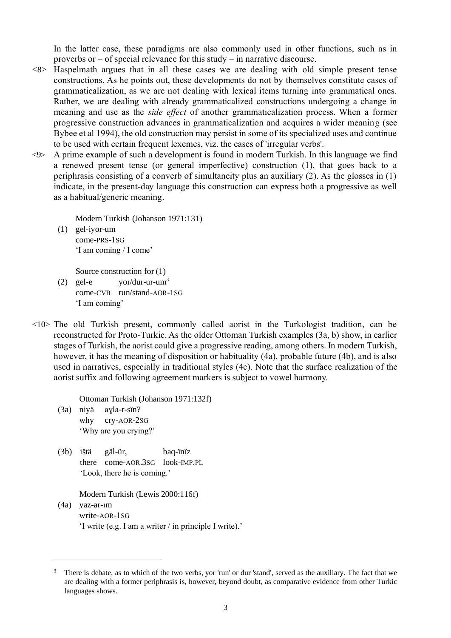In the latter case, these paradigms are also commonly used in other functions, such as in proverbs or – of special relevance for this study – in narrative discourse.

- <8> Haspelmath argues that in all these cases we are dealing with old simple present tense constructions. As he points out, these developments do not by themselves constitute cases of grammaticalization, as we are not dealing with lexical items turning into grammatical ones. Rather, we are dealing with already grammaticalized constructions undergoing a change in meaning and use as the *side effect* of another grammaticalization process. When a former progressive construction advances in grammaticalization and acquires a wider meaning (see Bybee et al 1994), the old construction may persist in some of its specialized uses and continue to be used with certain frequent lexemes, viz. the cases of 'irregular verbs'.
- <9> A prime example of such a development is found in modern Turkish. In this language we find a renewed present tense (or general imperfective) construction (1), that goes back to a periphrasis consisting of a converb of simultaneity plus an auxiliary (2). As the glosses in (1) indicate, in the present-day language this construction can express both a progressive as well as a habitual/generic meaning.

Modern Turkish (Johanson 1971:131)

(1) gel-iyor-um come-PRS-1SG 'I am coming / I come'

Source construction for (1)

- (2) gel-e  $\qquad \text{vor}/\text{dur-ur-um}^3$ come-CVB run/stand-AOR-1SG 'I am coming'
- <10> The old Turkish present, commonly called aorist in the Turkologist tradition, can be reconstructed for Proto-Turkic. As the older Ottoman Turkish examples (3a, b) show, in earlier stages of Turkish, the aorist could give a progressive reading, among others. In modern Turkish, however, it has the meaning of disposition or habituality (4a), probable future (4b), and is also used in narratives, especially in traditional styles (4c). Note that the surface realization of the aorist suffix and following agreement markers is subject to vowel harmony.

Ottoman Turkish (Johanson 1971:132f)

(3a) niyä aɣla-r-sïn? why cry-AOR-2SG 'Why are you crying?'

 $\overline{a}$ 

(3b) ištä gäl-ür, baq-ïnïz there come-AOR.3SG look-IMP.PL 'Look, there he is coming.'

Modern Turkish (Lewis 2000:116f)

(4a) yaz-ar-ım write-AOR-1SG 'I write (e.g. I am a writer / in principle I write).'

<sup>&</sup>lt;sup>3</sup> There is debate, as to which of the two verbs, yor 'run' or dur 'stand', served as the auxiliary. The fact that we are dealing with a former periphrasis is, however, beyond doubt, as comparative evidence from other Turkic languages shows.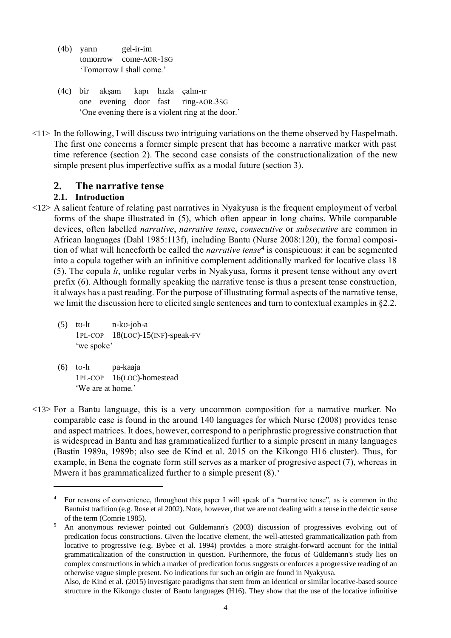- (4b) yarın gel-ir-im tomorrow come-AOR-1SG 'Tomorrow I shall come.'
- (4c) bir akşam kapı hızla çalın-ır one evening door fast ring-AOR.3SG 'One evening there is a violent ring at the door.'
- <11> In the following, I will discuss two intriguing variations on the theme observed by Haspelmath. The first one concerns a former simple present that has become a narrative marker with past time reference (section 2). The second case consists of the constructionalization of the new simple present plus imperfective suffix as a modal future (section 3).

## **2. The narrative tense**

## **2.1. Introduction**

- <12> A salient feature of relating past narratives in Nyakyusa is the frequent employment of verbal forms of the shape illustrated in (5), which often appear in long chains. While comparable devices, often labelled *narrative*, *narrative tens*e, *consecutive* or *subsecutive* are common in African languages (Dahl 1985:113f), including Bantu (Nurse 2008:120), the formal composition of what will henceforth be called the *narrative tense*<sup>4</sup> is conspicuous: it can be segmented into a copula together with an infinitive complement additionally marked for locative class 18 (5). The copula *lɪ*, unlike regular verbs in Nyakyusa, forms it present tense without any overt prefix (6). Although formally speaking the narrative tense is thus a present tense construction, it always has a past reading. For the purpose of illustrating formal aspects of the narrative tense, we limit the discussion here to elicited single sentences and turn to contextual examples in §2.2.
	- (5) tʊ-lɪ n-kʊ-job-a 1PL-COP 18(LOC)-15(INF)-speak-FV 'we spoke'
	- (6) tʊ-lɪ pa-kaaja 1PL-COP 16(LOC)-homestead 'We are at home.'

 $\overline{a}$ 

<13> For a Bantu language, this is a very uncommon composition for a narrative marker. No comparable case is found in the around 140 languages for which Nurse (2008) provides tense and aspect matrices. It does, however, correspond to a periphrastic progressive construction that is widespread in Bantu and has grammaticalized further to a simple present in many languages (Bastin 1989a, 1989b; also see de Kind et al. 2015 on the Kikongo H16 cluster). Thus, for example, in Bena the cognate form still serves as a marker of progresive aspect (7), whereas in Mwera it has grammaticalized further to a simple present (8).<sup>5</sup>

<sup>&</sup>lt;sup>4</sup> For reasons of convenience, throughout this paper I will speak of a "narrative tense", as is common in the Bantuist tradition (e.g. Rose et al 2002). Note, however, that we are not dealing with a tense in the deictic sense of the term (Comrie 1985).

<sup>5</sup> An anonymous reviewer pointed out Güldemann's (2003) discussion of progressives evolving out of predication focus constructions. Given the locative element, the well-attested grammaticalization path from locative to progressive (e.g. Bybee et al. 1994) provides a more straight-forward account for the initial grammaticalization of the construction in question. Furthermore, the focus of Güldemann's study lies on complex constructions in which a marker of predication focus suggests or enforces a progressive reading of an otherwise vague simple present. No indications fur such an origin are found in Nyakyusa.

Also, de Kind et al. (2015) investigate paradigms that stem from an identical or similar locative-based source structure in the Kikongo cluster of Bantu languages (H16). They show that the use of the locative infinitive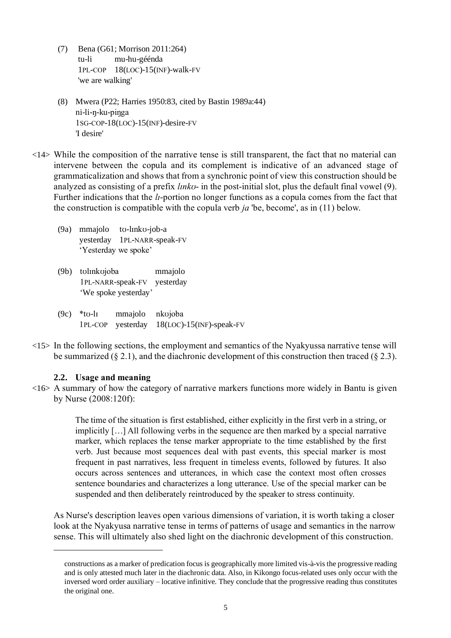- (7) Bena (G61; Morrison 2011:264) tu-li mu-hu-géénda 1PL-COP 18(LOC)-15(INF)-walk-FV 'we are walking'
- (8) Mwera (P22; Harries 1950:83, cited by Bastin 1989a:44) ni-li-ŋ-ku-piŋga 1SG-COP-18(LOC)-15(INF)-desire-FV 'I desire'
- <14> While the composition of the narrative tense is still transparent, the fact that no material can intervene between the copula and its complement is indicative of an advanced stage of grammaticalization and shows that from a synchronic point of view this construction should be analyzed as consisting of a prefix *lɪnkʊ*- in the post-initial slot, plus the default final vowel (9). Further indications that the *lɪ*-portion no longer functions as a copula comes from the fact that the construction is compatible with the copula verb *ja* 'be, become', as in (11) below.
	- (9a) mmajolo tʊ-lɪnkʊ-job-a yesterday 1PL-NARR-speak-FV 'Yesterday we spoke'
	- (9b) tʊlɪnkʊjoba mmajolo 1PL-NARR-speak-FV yesterday 'We spoke yesterday'
	- (9c) \*tʊ-lɪ mmajolo nkʊjoba 1PL-COP yesterday 18(LOC)-15(INF)-speak-FV
- $\langle 15 \rangle$  In the following sections, the employment and semantics of the Nyakyussa narrative tense will be summarized (§ 2.1), and the diachronic development of this construction then traced (§ 2.3).

### **2.2. Usage and meaning**

 $\langle 16 \rangle$  A summary of how the category of narrative markers functions more widely in Bantu is given by Nurse (2008:120f):

> The time of the situation is first established, either explicitly in the first verb in a string, or implicitly […] All following verbs in the sequence are then marked by a special narrative marker, which replaces the tense marker appropriate to the time established by the first verb. Just because most sequences deal with past events, this special marker is most frequent in past narratives, less frequent in timeless events, followed by futures. It also occurs across sentences and utterances, in which case the context most often crosses sentence boundaries and characterizes a long utterance. Use of the special marker can be suspended and then deliberately reintroduced by the speaker to stress continuity.

As Nurse's description leaves open various dimensions of variation, it is worth taking a closer look at the Nyakyusa narrative tense in terms of patterns of usage and semantics in the narrow sense. This will ultimately also shed light on the diachronic development of this construction.

constructions as a marker of predication focus is geographically more limited vis-à-vis the progressive reading and is only attested much later in the diachronic data. Also, in Kikongo focus-related uses only occur with the inversed word order auxiliary – locative infinitive. They conclude that the progressive reading thus constitutes the original one.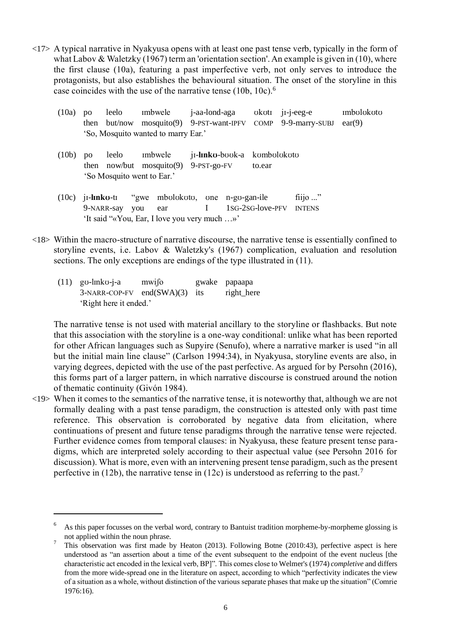<17> A typical narrative in Nyakyusa opens with at least one past tense verb, typically in the form of what Labov & Waletzky (1967) term an 'orientation section'. An example is given in (10), where the first clause (10a), featuring a past imperfective verb, not only serves to introduce the protagonists, but also establishes the behavioural situation. The onset of the storyline in this case coincides with the use of the narrative tense (10b, 10c).<sup>6</sup>

| (10a)              | $\mathbf{D}\mathbf{O}$ | leelo |                                        | imbwele j-aa-lond-aga okoti ji-j-eeg-e                         |        | mbolokoto |
|--------------------|------------------------|-------|----------------------------------------|----------------------------------------------------------------|--------|-----------|
|                    | then                   |       |                                        | but/now mosquito(9) 9-PST-want-IPFV COMP 9-9-marry-SUBJ ear(9) |        |           |
|                    |                        |       | 'So, Mosquito wanted to marry Ear.'    |                                                                |        |           |
|                    |                        |       |                                        |                                                                |        |           |
| (10 <sub>b</sub> ) | $\mathbf{p}$           | leelo |                                        | imbwele ji-linko-book-a kombolokoto                            |        |           |
|                    |                        |       | then now/but mosquito(9) $9-PST-go-FV$ |                                                                | to.ear |           |
|                    |                        |       | 'So Mosquito went to Ear.'             |                                                                |        |           |

- (10c) jɪ-**lɪnkʊ**-tɪ "gwe mbʊlʊkʊtʊ, ʊne n-gʊ-gan-ile fiijo ..." 9-NARR-say you ear I 1SG-2SG-love-PFV INTENS 'It said "«You, Ear, I love you very much …»'
- <18> Within the macro-structure of narrative discourse, the narrative tense is essentially confined to storyline events, i.e. Labov & Waletzky's (1967) complication, evaluation and resolution sections. The only exceptions are endings of the type illustrated in (11).
	- (11) gʊ-lɪnkʊ-j-a mwiʃo gwake papaapa 3-NARR-COP-FV end(SWA)(3) its right\_here 'Right here it ended.'

 $\overline{a}$ 

The narrative tense is not used with material ancillary to the storyline or flashbacks. But note that this association with the storyline is a one-way conditional: unlike what has been reported for other African languages such as Supyire (Senufo), where a narrative marker is used "in all but the initial main line clause" (Carlson 1994:34), in Nyakyusa, storyline events are also, in varying degrees, depicted with the use of the past perfective. As argued for by Persohn (2016), this forms part of a larger pattern, in which narrative discourse is construed around the notion of thematic continuity (Givón 1984).

<19> When it comes to the semantics of the narrative tense, it is noteworthy that, although we are not formally dealing with a past tense paradigm, the construction is attested only with past time reference. This observation is corroborated by negative data from elicitation, where continuations of present and future tense paradigms through the narrative tense were rejected. Further evidence comes from temporal clauses: in Nyakyusa, these feature present tense paradigms, which are interpreted solely according to their aspectual value (see Persohn 2016 for discussion). What is more, even with an intervening present tense paradigm, such as the present perfective in (12b), the narrative tense in (12c) is understood as referring to the past.<sup>7</sup>

As this paper focusses on the verbal word, contrary to Bantuist tradition morpheme-by-morpheme glossing is not applied within the noun phrase.

<sup>7</sup> This observation was first made by Heaton (2013). Following Botne (2010:43), perfective aspect is here understood as "an assertion about a time of the event subsequent to the endpoint of the event nucleus [the characteristic act encoded in the lexical verb, BP]". This comes close to Welmer's (1974) *completive* and differs from the more wide-spread one in the literature on aspect, according to which "perfectivity indicates the view of a situation as a whole, without distinction of the various separate phases that make up the situation" (Comrie 1976:16).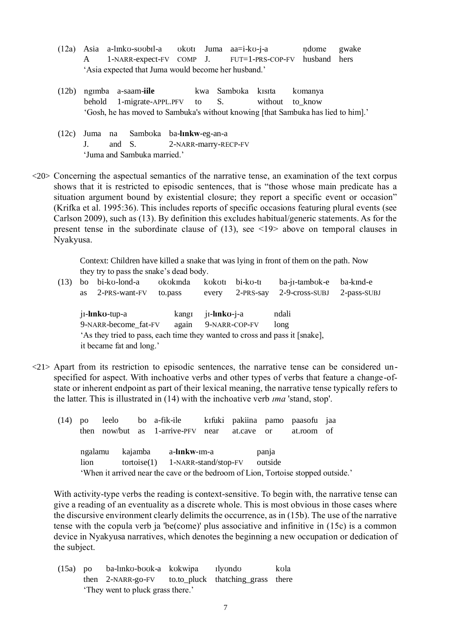- $(12a)$  Asia a-l $m$ ko-s $a$ ubal-a ukutu Juma aa $=i$ -ku-j-a ndume gwake A 1-NARR-expect-FV COMP J. FUT=1-PRS-COP-FV husband hers 'Asia expected that Juma would become her husband.'
- (12b) ngɪmba a-saam-**iile** kwa Sambʊka kɪsɪta kʊmanya behold 1-migrate-APPL.PFV to S. without to know 'Gosh, he has moved to Sambuka's without knowing [that Sambuka has lied to him].'
- (12c) Juma na Sambʊka ba-**lɪnkw**-eg-an-a J. and S. 2-NARR-marry-RECP-FV 'Juma and Sambuka married.'
- <20> Concerning the aspectual semantics of the narrative tense, an examination of the text corpus shows that it is restricted to episodic sentences, that is "those whose main predicate has a situation argument bound by existential closure; they report a specific event or occasion" (Krifka et al. 1995:36). This includes reports of specific occasions featuring plural events (see Carlson 2009), such as (13). By definition this excludes habitual/generic statements. As for the present tense in the subordinate clause of (13), see <19> above on temporal clauses in Nyakyusa.

Context: Children have killed a snake that was lying in front of them on the path. Now they try to pass the snake's dead body.

- (13) bo bi-kʊ-lond-a ʊkʊkɪnda kʊkʊtɪ bi-kʊ-tɪ ba-jɪ-tambʊk-e ba-kɪnd-e as 2-PRS-want-FV to.pass every 2-PRS-say 2-9-cross-SUBJ 2-pass-SUBJ jɪ-**lɪnkʊ**-tup-a kangɪ jɪ-**lɪnkʊ**-j-a ndali 9-NARR-become fat-FV again 9-NARR-COP-FV long 'As they tried to pass, each time they wanted to cross and pass it [snake], it became fat and long.'
- <21> Apart from its restriction to episodic sentences, the narrative tense can be considered unspecified for aspect. With inchoative verbs and other types of verbs that feature a change-ofstate or inherent endpoint as part of their lexical meaning, the narrative tense typically refers to the latter. This is illustrated in (14) with the inchoative verb *ɪma* 'stand, stop'.

| (14) |      |  |  | po leelo bo a-fik-ile kifuki pakiina pamo paasofu jaa<br>then now/but as 1-arrive-PFV near at.cave or at.room of |  |       |  |
|------|------|--|--|------------------------------------------------------------------------------------------------------------------|--|-------|--|
|      |      |  |  | ngalamu kajamba a-linkw-im-a                                                                                     |  | panja |  |
|      | lion |  |  | $tortoise(1)$ 1-NARR-stand/stop-FV outside                                                                       |  |       |  |
|      |      |  |  | 'When it arrived near the cave or the bedroom of Lion, Tortoise stopped outside.'                                |  |       |  |

With activity-type verbs the reading is context-sensitive. To begin with, the narrative tense can give a reading of an eventuality as a discrete whole. This is most obvious in those cases where the discursive environment clearly delimits the occurrence, as in (15b). The use of the narrative tense with the copula verb ja 'be(come)' plus associative and infinitive in (15c) is a common device in Nyakyusa narratives, which denotes the beginning a new occupation or dedication of the subject.

| $(15a)$ po | ba-linko-book-a kokwipa ilyondo                     |  | kola |
|------------|-----------------------------------------------------|--|------|
|            | then 2-NARR-go-FV to.to_pluck thatching_grass there |  |      |
|            | 'They went to pluck grass there.'                   |  |      |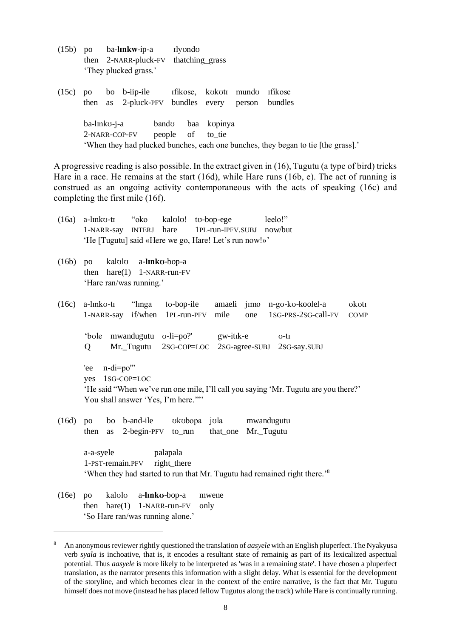- (15b) po ba-**lɪnkw**-ip-a ɪlyʊndʊ then 2-NARR-pluck-FV thatching\_grass 'They plucked grass.'
- (15c) po bo b-iip-ile ɪfikose, kʊkʊtɪ mundʊ ɪfikose then as 2-pluck-PFV bundles every person bundles ba-lɪnkʊ-j-a bandʊ baa kʊpinya 2-NARR-COP-FV people of to\_tie 'When they had plucked bunches, each one bunches, they began to tie [the grass].'

A progressive reading is also possible. In the extract given in (16), Tugutu (a type of bird) tricks Hare in a race. He remains at the start (16d), while Hare runs (16b, e). The act of running is construed as an ongoing activity contemporaneous with the acts of speaking (16c) and completing the first mile (16f).

| (16a) | kalolo! to-bop-ege<br>a-linko-ti<br>"oko<br>leelo!"<br>hare<br>1PL-run-IPFV.SUBJ<br>now/but<br>1-NARR-say<br><b>INTERJ</b><br>'He [Tugutu] said «Here we go, Hare! Let's run now!»' |
|-------|-------------------------------------------------------------------------------------------------------------------------------------------------------------------------------------|
| (16b) | kalolo<br>a-linko-bop-a<br>po<br>hare(1)<br>1-NARR-run-FV<br>then<br>'Hare ran/was running.'                                                                                        |
| (16c) | "linga<br>a-linko-ti<br>to-bop-ile<br>amaeli jimo n-go-ko-koolel-a<br>okoti<br>if/when<br>mile<br>1sG-PRS-2sG-call-FV<br>1PL-run-PFV<br>1-NARR-say<br>one<br><b>COMP</b>            |
|       | mwandugutu v-li=po?' gw-itik-e<br>'bole<br>$U-tI$<br>Mr. Tugutu<br>$2$ SG-COP=LOC<br>2sG-agree-SUBJ<br>Q<br>2sG-say.SUBJ                                                            |
|       | $n$ -di= $po$ "<br>'ee<br>1sG-COP=LOC<br>yes<br>'He said "When we've run one mile, I'll call you saying 'Mr. Tugutu are you there?'<br>You shall answer 'Yes, I'm here.""           |
| (16d) | bo b-and-ile<br>okobopa jola<br>mwandugutu<br>po<br>$2$ -begin-PFV<br>to_run<br>that_one<br>Mr._Tugutu<br>then<br>as                                                                |
|       | palapala<br>a-a-syele<br>right_there<br>1-PST-remain.PFV<br>'When they had started to run that Mr. Tugutu had remained right there.' <sup>8</sup>                                   |
| (16e) | kalolo<br>a-linko-bop-a<br>po<br>mwene<br>1-NARR-run-FV<br>hare(1)<br>then<br>only<br>'So Hare ran/was running alone.'                                                              |

<sup>8</sup> An anonymous reviewer rightly questioned the translation of *aasyele* with an English pluperfect. The Nyakyusa verb *syala* is inchoative, that is, it encodes a resultant state of remainig as part of its lexicalized aspectual potential. Thus *aasyele* is more likely to be interpreted as 'was in a remaining state'. I have chosen a pluperfect translation, as the narrator presents this information with a slight delay. What is essential for the development of the storyline, and which becomes clear in the context of the entire narrative, is the fact that Mr. Tugutu himself does not move (instead he has placed fellow Tugutus along the track) while Hare is continually running.

 $\overline{a}$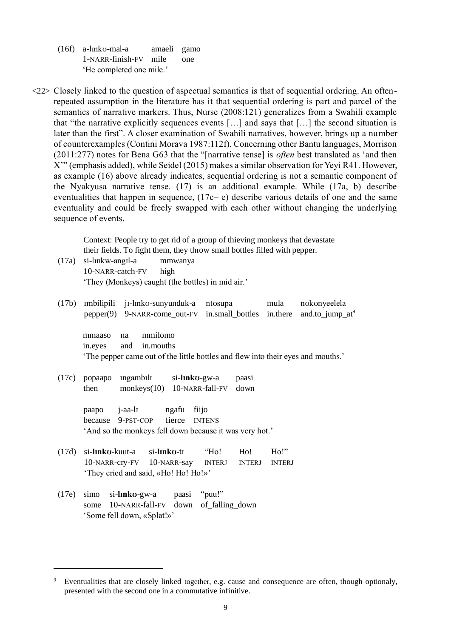- (16f) a-lɪnkʊ-mal-a amaeli gamo 1-NARR-finish-FV mile one 'He completed one mile.'
- <22> Closely linked to the question of aspectual semantics is that of sequential ordering. An oftenrepeated assumption in the literature has it that sequential ordering is part and parcel of the semantics of narrative markers. Thus, Nurse (2008:121) generalizes from a Swahili example that "the narrative explicitly sequences events […] and says that […] the second situation is later than the first". A closer examination of Swahili narratives, however, brings up a number of counterexamples (Contini Morava 1987:112f). Concerning other Bantu languages, Morrison (2011:277) notes for Bena G63 that the "[narrative tense] is *often* best translated as 'and then X'" (emphasis added), while Seidel (2015) makes a similar observation for Yeyi R41. However, as example (16) above already indicates, sequential ordering is not a semantic component of the Nyakyusa narrative tense. (17) is an additional example. While (17a, b) describe eventualities that happen in sequence, (17c– e) describe various details of one and the same eventuality and could be freely swapped with each other without changing the underlying sequence of events.

Context: People try to get rid of a group of thieving monkeys that devastate their fields. To fight them, they throw small bottles filled with pepper.

- (17a) si-lɪnkw-angɪl-a mmwanya 10-NARR-catch-FV high 'They (Monkeys) caught (the bottles) in mid air.'
- (17b) ɪmbilipili jɪ-lɪnkʊ-sunyunduk-a ntʊsupa mula nʊkʊnyeelela pepper(9) 9-NARR-come\_out-FV in.small\_bottles in.there and.to\_jump\_at<sup>9</sup>

mmaaso na mmilomo in.eyes and in.mouths 'The pepper came out of the little bottles and flew into their eyes and mouths.'

(17c) popaapo ɪngambɪlɪ si-**lɪnkʊ**-gw-a paasi then monkeys(10) 10-NARR-fall-FV down

> paapo j-aa-lɪ ngafu fiijo because 9-PST-COP fierce INTENS 'And so the monkeys fell down because it was very hot.'

- (17d) si-**lɪnkʊ**-kuut-a si-**lɪnkʊ**-tɪ "Ho! Ho! Ho!" 10-NARR-cry-FV 10-NARR-say INTERJ INTERJ INTERJ 'They cried and said, «Ho! Ho! Ho!»'
- (17e) simo si-**lɪnkʊ**-gw-a paasi "puu!" some 10-NARR-fall-FV down of falling down 'Some fell down, «Splat!»'

Eventualities that are closely linked together, e.g. cause and consequence are often, though optionaly, presented with the second one in a commutative infinitive.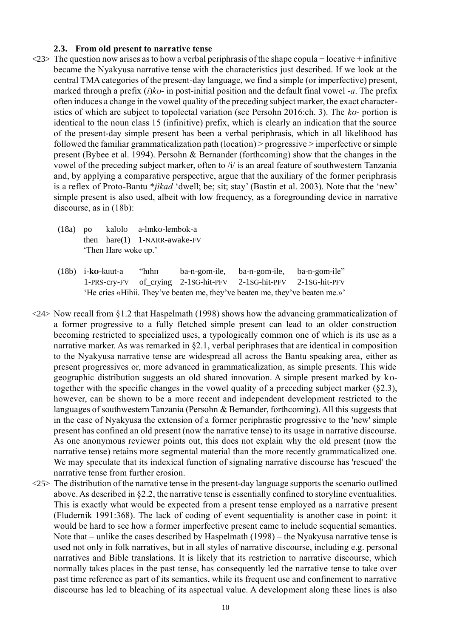#### **2.3. From old present to narrative tense**

- $\langle 23 \rangle$  The question now arises as to how a verbal periphrasis of the shape copula + locative + infinitive became the Nyakyusa narrative tense with the characteristics just described. If we look at the central TMA categories of the present-day language, we find a simple (or imperfective) present, marked through a prefix (*i*)*kʊ*- in post-initial position and the default final vowel -*a*. The prefix often induces a change in the vowel quality of the preceding subject marker, the exact characteristics of which are subject to topolectal variation (see Persohn 2016:ch. 3). The *kʊ*- portion is identical to the noun class 15 (infinitive) prefix, which is clearly an indication that the source of the present-day simple present has been a verbal periphrasis, which in all likelihood has followed the familiar grammaticalization path (location) > progressive > imperfective or simple present (Bybee et al. 1994). Persohn & Bernander (forthcoming) show that the changes in the vowel of the preceding subject marker, often to /i/ is an areal feature of southwestern Tanzania and, by applying a comparative perspective, argue that the auxiliary of the former periphrasis is a reflex of Proto-Bantu \**jìkad* 'dwell; be; sit; stay' (Bastin et al. 2003). Note that the 'new' simple present is also used, albeit with low frequency, as a foregrounding device in narrative discourse, as in (18b):
	- (18a) po kalʊlʊ a-lɪnkʊ-lembʊk-a then hare(1) 1-NARR-awake-FV 'Then Hare woke up.'
	- (18b) i-**kʊ**-kuut-a "hɪhɪɪ ba-n-gom-ile, ba-n-gom-ile, ba-n-gom-ile" 1-PRS-cry-FV of\_crying 2-1SG-hit-PFV 2-1SG-hit-PFV 2-1SG-hit-PFV 'He cries «Hihii. They've beaten me, they've beaten me, they've beaten me.»'
- <24> Now recall from §1.2 that Haspelmath (1998) shows how the advancing grammaticalization of a former progressive to a fully fletched simple present can lead to an older construction becoming restricted to specialized uses, a typologically common one of which is its use as a narrative marker. As was remarked in §2.1, verbal periphrases that are identical in composition to the Nyakyusa narrative tense are widespread all across the Bantu speaking area, either as present progressives or, more advanced in grammaticalization, as simple presents. This wide geographic distribution suggests an old shared innovation. A simple present marked by kʊtogether with the specific changes in the vowel quality of a preceding subject marker (§2.3), however, can be shown to be a more recent and independent development restricted to the languages of southwestern Tanzania (Persohn & Bernander, forthcoming). All this suggests that in the case of Nyakyusa the extension of a former periphrastic progressive to the 'new' simple present has confined an old present (now the narrative tense) to its usage in narrative discourse. As one anonymous reviewer points out, this does not explain why the old present (now the narrative tense) retains more segmental material than the more recently grammaticalized one. We may speculate that its indexical function of signaling narrative discourse has 'rescued' the narrative tense from further erosion.
- <25> The distribution of the narrative tense in the present-day language supports the scenario outlined above. As described in §2.2, the narrative tense is essentially confined to storyline eventualities. This is exactly what would be expected from a present tense employed as a narrative present (Fludernik 1991:368). The lack of coding of event sequentiality is another case in point: it would be hard to see how a former imperfective present came to include sequential semantics. Note that – unlike the cases described by Haspelmath (1998) – the Nyakyusa narrative tense is used not only in folk narratives, but in all styles of narrative discourse, including e.g. personal narratives and Bible translations. It is likely that its restriction to narrative discourse, which normally takes places in the past tense, has consequently led the narrative tense to take over past time reference as part of its semantics, while its frequent use and confinement to narrative discourse has led to bleaching of its aspectual value. A development along these lines is also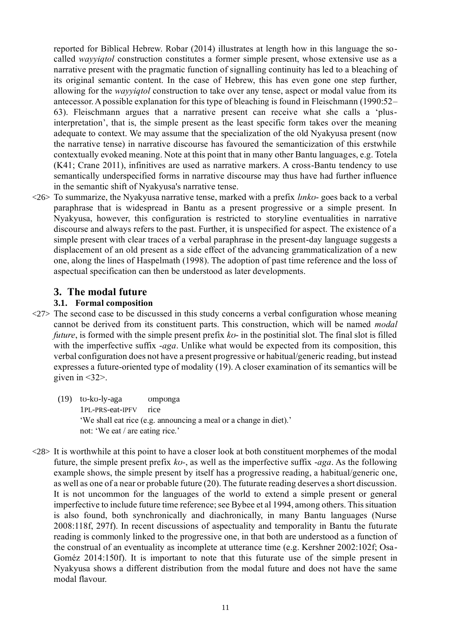reported for Biblical Hebrew. Robar (2014) illustrates at length how in this language the socalled *wayyiqtol* construction constitutes a former simple present, whose extensive use as a narrative present with the pragmatic function of signalling continuity has led to a bleaching of its original semantic content. In the case of Hebrew, this has even gone one step further, allowing for the *wayyiqtol* construction to take over any tense, aspect or modal value from its antecessor. A possible explanation for this type of bleaching is found in Fleischmann (1990:52– 63). Fleischmann argues that a narrative present can receive what she calls a 'plusinterpretation', that is, the simple present as the least specific form takes over the meaning adequate to context. We may assume that the specialization of the old Nyakyusa present (now the narrative tense) in narrative discourse has favoured the semanticization of this erstwhile contextually evoked meaning. Note at this point that in many other Bantu languages, e.g. Totela (K41; Crane 2011), infinitives are used as narrative markers. A cross-Bantu tendency to use semantically underspecified forms in narrative discourse may thus have had further influence in the semantic shift of Nyakyusa's narrative tense.

<26> To summarize, the Nyakyusa narrative tense, marked with a prefix *lɪnkʊ*- goes back to a verbal paraphrase that is widespread in Bantu as a present progressive or a simple present. In Nyakyusa, however, this configuration is restricted to storyline eventualities in narrative discourse and always refers to the past. Further, it is unspecified for aspect. The existence of a simple present with clear traces of a verbal paraphrase in the present-day language suggests a displacement of an old present as a side effect of the advancing grammaticalization of a new one, along the lines of Haspelmath (1998). The adoption of past time reference and the loss of aspectual specification can then be understood as later developments.

# **3. The modal future**

## **3.1. Formal composition**

- $\langle 27 \rangle$  The second case to be discussed in this study concerns a verbal configuration whose meaning cannot be derived from its constituent parts. This construction, which will be named *modal future*, is formed with the simple present prefix *kʊ*- in the postinitial slot. The final slot is filled with the imperfective suffix *-aga*. Unlike what would be expected from its composition, this verbal configuration does not have a present progressive or habitual/generic reading, but instead expresses a future-oriented type of modality (19). A closer examination of its semantics will be given in  $\langle 32 \rangle$ .
	- (19) tʊ-kʊ-ly-aga ʊmpʊnga 1PL-PRS-eat-IPFV rice 'We shall eat rice (e.g. announcing a meal or a change in diet).' not: 'We eat / are eating rice.'
- <28> It is worthwhile at this point to have a closer look at both constituent morphemes of the modal future, the simple present prefix *kʊ-*, as well as the imperfective suffix -*aga*. As the following example shows, the simple present by itself has a progressive reading, a habitual/generic one, as well as one of a near or probable future (20). The futurate reading deserves a short discussion. It is not uncommon for the languages of the world to extend a simple present or general imperfective to include future time reference; see Bybee et al 1994, among others. This situation is also found, both synchronically and diachronically, in many Bantu languages (Nurse 2008:118f, 297f). In recent discussions of aspectuality and temporality in Bantu the futurate reading is commonly linked to the progressive one, in that both are understood as a function of the construal of an eventuality as incomplete at utterance time (e.g. Kershner 2002:102f; Osa-Goméz 2014:150f). It is important to note that this futurate use of the simple present in Nyakyusa shows a different distribution from the modal future and does not have the same modal flavour.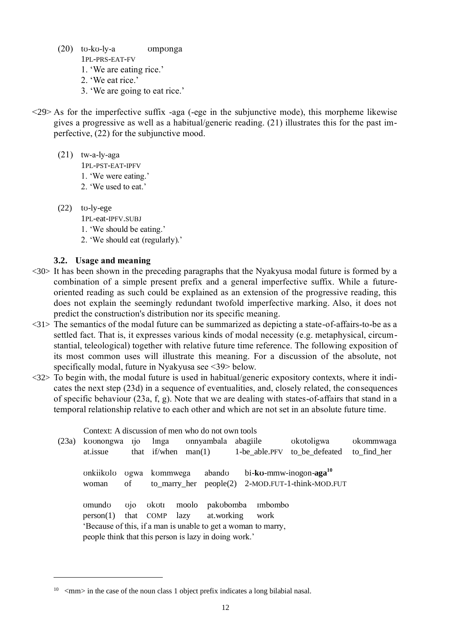- (20) tʊ-kʊ-ly-a ʊmpʊnga
	- 1PL-PRS-EAT-FV
	- 1. 'We are eating rice.' 2. 'We eat rice.'
	- 3. 'We are going to eat rice.'
- $\langle 29 \rangle$  As for the imperfective suffix -aga (-ege in the subjunctive mode), this morpheme likewise gives a progressive as well as a habitual/generic reading. (21) illustrates this for the past imperfective, (22) for the subjunctive mood.
	- (21) tw-a-ly-aga
		- 1PL-PST-EAT-IPFV
		- 1. 'We were eating.'
		- 2. 'We used to eat.'
	- (22) tʊ-ly-ege

 $\overline{a}$ 

- 1PL-eat-IPFV.SUBJ
- 1. 'We should be eating.'
- 2. 'We should eat (regularly).'

## **3.2. Usage and meaning**

- <30> It has been shown in the preceding paragraphs that the Nyakyusa modal future is formed by a combination of a simple present prefix and a general imperfective suffix. While a futureoriented reading as such could be explained as an extension of the progressive reading, this does not explain the seemingly redundant twofold imperfective marking. Also, it does not predict the construction's distribution nor its specific meaning.
- <31> The semantics of the modal future can be summarized as depicting a state-of-affairs-to-be as a settled fact. That is, it expresses various kinds of modal necessity (e.g. metaphysical, circumstantial, teleological) together with relative future time reference. The following exposition of its most common uses will illustrate this meaning. For a discussion of the absolute, not specifically modal, future in Nyakyusa see <39> below.
- $\langle 32 \rangle$  To begin with, the modal future is used in habitual/generic expository contexts, where it indicates the next step (23d) in a sequence of eventualities, and, closely related, the consequences of specific behaviour (23a, f, g). Note that we are dealing with states-of-affairs that stand in a temporal relationship relative to each other and which are not set in an absolute future time.

|       |           |                |                | Context: A discussion of men who do not own tools             |            |                  |                                                  |             |
|-------|-----------|----------------|----------------|---------------------------------------------------------------|------------|------------------|--------------------------------------------------|-------------|
| (23a) | koonongwa | $i$ [10]       | linga          | onnyambala                                                    |            | abagiile         | okotoligwa                                       | okommwaga   |
|       | at.issue  |                |                | that if/when $man(1)$                                         |            | 1-be_able.PFV    | to be defeated                                   | to find her |
|       |           |                |                |                                                               |            |                  |                                                  |             |
|       | onkiikolo | ugwa           | kommwega       | abando                                                        |            |                  | $bi$ -ko-mmw-inogon-aga $10$                     |             |
|       | woman     | οf             |                |                                                               |            |                  | to_marry_her people(2) 2-MOD.FUT-1-think-MOD.FUT |             |
|       |           |                |                |                                                               |            |                  |                                                  |             |
|       | omundo    | $\overline{q}$ | okotı          | moolo<br>pakobomba                                            |            | <i>s</i> imbombo |                                                  |             |
|       | person(1) |                | that COMP lazy |                                                               | at.working | work             |                                                  |             |
|       |           |                |                | 'Because of this, if a man is unable to get a woman to marry, |            |                  |                                                  |             |
|       |           |                |                | people think that this person is lazy in doing work.'         |            |                  |                                                  |             |
|       |           |                |                |                                                               |            |                  |                                                  |             |

 $10$   $\leq$ mm $>$  in the case of the noun class 1 object prefix indicates a long bilabial nasal.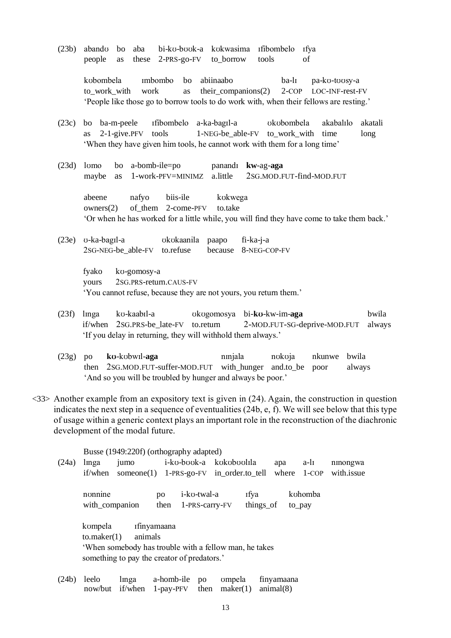(23b) abandʊ bo aba bi-kʊ-bʊʊk-a kʊkwasima ɪfibombelo ɪfya people as these 2-PRS-go-FV to\_borrow tools of

> kʊbombela ɪmbombo bo abiinaabo ba-lɪ pa-kʊ-tʊʊsy-a to work with work as their companions(2) 2-COP LOC-INF-rest-FV 'People like those go to borrow tools to do work with, when their fellows are resting.'

- (23c) bo ba-m-peele ɪfibombelo a-ka-bagɪl-a ʊkʊbombela akabalɪlo akatali as  $2\n-1$ -give.PFV tools 1-NEG-be able-FV to work with time long 'When they have given him tools, he cannot work with them for a long time'
- (23d) lʊmo bo a-bomb-ile=po panandɪ **kw**-ag-**aga** maybe as 1-work-PFV=MINIMZ a.little 2SG.MOD.FUT-find-MOD.FUT

abeene nafyo biis-ile kʊkwega owners $(2)$  of them 2-come-PFV to.take 'Or when he has worked for a little while, you will find they have come to take them back.'

(23e) ʊ-ka-bagɪl-a ʊkʊkaanila paapo fi-ka-j-a 2SG-NEG-be\_able-FV to.refuse because 8-NEG-COP-FV

> fyako kʊ-gomosy-a yours 2SG.PRS-return.CAUS-FV 'You cannot refuse, because they are not yours, you return them.'

- (23f) lɪnga kʊ-kaabɪl-a ʊkʊgomosya bi-**kʊ**-kw-im-**aga** bwila if/when 2SG.PRS-be\_late-FV to.return 2-MOD.FUT-SG-deprive-MOD.FUT always 'If you delay in returning, they will withhold them always.'
- (23g) po **kʊ**-kʊbwɪl-**aga** nɪnjala nʊkʊja nkunwe bwila then 2SG.MOD.FUT-suffer-MOD.FUT with\_hunger and.to\_be poor always 'And so you will be troubled by hunger and always be poor.'
- $\langle 33 \rangle$  Another example from an expository text is given in (24). Again, the construction in question indicates the next step in a sequence of eventualities (24b, e, f). We will see below that this type of usage within a generic context plays an important role in the reconstruction of the diachronic development of the modal future.

Busse (1949:220f) (orthography adapted)

- (24a) lɪnga jumo i-kʊ-bʊʊk-a kʊkʊbʊʊlɪla apa a-lɪ nɪnongwa if/when someone(1) 1-PRS-go-FV in\_order.to\_tell where 1-COP with.issue nonnine po i-ko-twal-a rfya kohomba with\_companion then 1-PRS-carry-FV things\_of to\_pay kompela **ifinyamaana** to.maker(1) animals 'When somebody has trouble with a fellow man, he takes something to pay the creator of predators.'
- (24b) leelo linga a-homb-ile po ompela finyamaana now/but if/when 1-pay-PFV then maker(1) animal(8)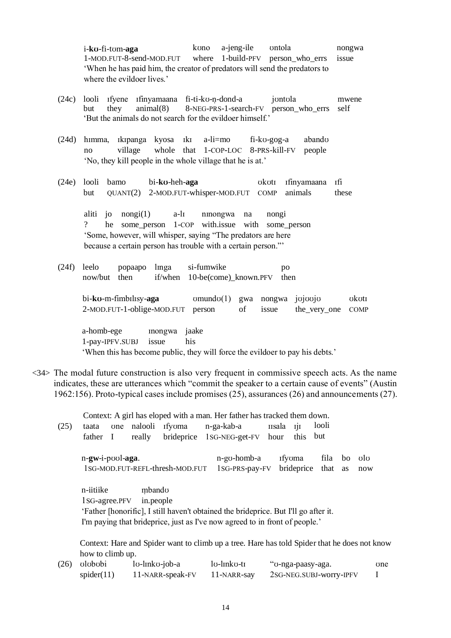i-**kʊ**-fi-tʊm-**aga** kʊno a-jeng-ile ʊntola nongwa 1-MOD.FUT-8-send-MOD.FUT where 1-build-PFV person\_who\_errs issue 'When he has paid him, the creator of predators will send the predators to where the evildoer lives.'

- (24c) looli ɪfyene ɪfinyamaana fi-ti-kʊ-n̩ -dond-a jʊntʊla mwene but they animal(8) 8-NEG-PRS-1-search-FV person\_who\_errs self 'But the animals do not search for the evildoer himself.'
- (24d) hɪmma, ɪkɪpanga kyosa ɪkɪ a-li=mo fi-kʊ-gog-a abandʊ no village whole that 1-COP-LOC 8-PRS-kill-FV people 'No, they kill people in the whole village that he is at.'
- (24e) looli bamo bi-**kʊ**-heh-**aga** ʊkʊtɪ ɪfinyamaana ɪfi but QUANT(2) 2-MOD.FUT-whisper-MOD.FUT COMP animals these

aliti jo nongi(1) a-lɪ nɪnongwa na nongi ? he some\_person 1-COP with.issue with some\_person 'Some, however, will whisper, saying "The predators are here because a certain person has trouble with a certain person."'

(24f) leelo popaapo lmga si-fumwike po now/but then if/when 10-be(come)\_known.PFV then

> bi-**kʊ**-m-fimbɪlɪsy-**aga** ʊmundʊ(1) gwa nongwa jʊjʊʊjʊ ʊkʊtɪ 2-MOD.FUT-1-oblige-MOD.FUT person of issue the\_very\_one COMP

a-homb-ege **inongwa** jaake 1-pay-IPFV.SUBJ issue his

'When this has become public, they will force the evildoer to pay his debts.'

<34> The modal future construction is also very frequent in commissive speech acts. As the name indicates, these are utterances which "commit the speaker to a certain cause of events" (Austin 1962:156). Proto-typical cases include promises (25), assurances (26) and announcements (27).

Context: A girl has eloped with a man. Her father has tracked them down.

| (25) | taata                      | one |                     | nalooli Ifyoma                  | n-ga-kab-a                                                                                                                                                         | <b>IIsala</b> | - IJI                | looli        |          |            |
|------|----------------------------|-----|---------------------|---------------------------------|--------------------------------------------------------------------------------------------------------------------------------------------------------------------|---------------|----------------------|--------------|----------|------------|
|      | father                     | - 1 | really              | brideprice                      | 1sG-NEG-get-FV                                                                                                                                                     | hour          | this                 | but          |          |            |
|      | n-gw-i-pool-aga.           |     |                     | 1SG-MOD.FUT-REFL-thresh-MOD.FUT | n-go-homb-a<br>1sG-PRS-pay-FV                                                                                                                                      |               | Ifyoma<br>brideprice | fila<br>that | bo<br>as | olo<br>now |
|      | n-iitiike<br>1sG-agree.PFV |     | mbando<br>in.people |                                 | 'Father [honorific], I still haven't obtained the brideprice. But I'll go after it.<br>I'm paying that brideprice, just as I've now agreed to in front of people.' |               |                      |              |          |            |

Context: Hare and Spider want to climb up a tree. Hare has told Spider that he does not know how to climb up.

| $(26)$ olobobi | lo-linko-job-a   | lo-linko-ti | "v-nga-paasy-aga.       | one |
|----------------|------------------|-------------|-------------------------|-----|
| spider(11)     | 11-NARR-speak-FV | 11-NARR-say | 2SG-NEG.SUBJ-worry-IPFV |     |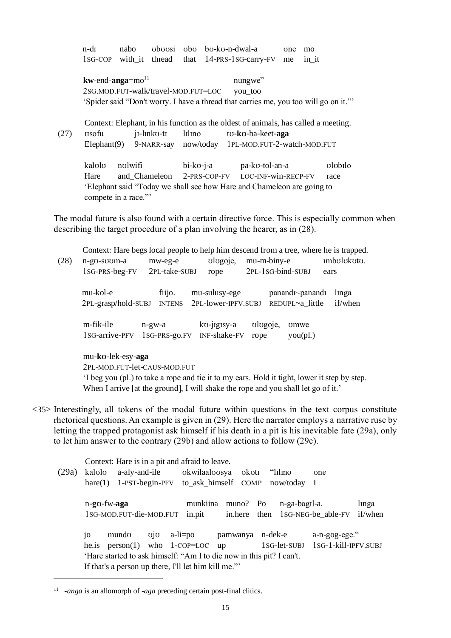|      | n-dī                                | nabo |            |        | oboosi obo bo-ko-n-dwal-a                                                            | $\sigma$ | mo    |  |
|------|-------------------------------------|------|------------|--------|--------------------------------------------------------------------------------------|----------|-------|--|
|      |                                     |      |            |        | 1sG-COP with it thread that 14-PRS-1sG-carry-FV                                      | me       | in it |  |
|      | $kw$ -end-anga=mo <sup>11</sup>     |      |            |        | nungwe"                                                                              |          |       |  |
|      | 2sG.MOD.FUT-walk/travel-MOD.FUT=LOC |      |            |        | you_too                                                                              |          |       |  |
|      |                                     |      |            |        | 'Spider said "Don't worry. I have a thread that carries me, you too will go on it."' |          |       |  |
|      |                                     |      |            |        |                                                                                      |          |       |  |
|      |                                     |      |            |        | Context: Elephant, in his function as the oldest of animals, has called a meeting.   |          |       |  |
| (27) | <b>IISOfu</b>                       |      | j1-lmko-t1 | lılıno | to-ko-ba-keet-aga                                                                    |          |       |  |
|      | Elephant $(9)$                      |      | 9-NARR-say |        | now/today 1PL-MOD.FUT-2-watch-MOD.FUT                                                |          |       |  |
|      |                                     |      |            |        |                                                                                      |          |       |  |

kalʊlʊ nʊlwifi bi-kʊ-j-a pa-kʊ-tol-an-a ʊlʊbɪlo Hare and\_Chameleon 2-PRS-COP-FV LOC-INF-win-RECP-FV race 'Elephant said "Today we shall see how Hare and Chameleon are going to compete in a race."

The modal future is also found with a certain directive force. This is especially common when describing the target procedure of a plan involving the hearer, as in (28).

|      |                              |               |                     | Context: Hare begs local people to help him descend from a tree, where he is trapped.        |             |
|------|------------------------------|---------------|---------------------|----------------------------------------------------------------------------------------------|-------------|
| (28) | n-go-soom-a                  | mw-eg-e       | ologoje,            | mu-m-biny-e                                                                                  | Imbolokoto. |
|      | 1sG-PRS-beg-FV               | 2PL-take-SUBJ | rope                | 2PL-1SG-bind-SUBJ                                                                            | ears        |
|      | mu-kol-e                     | fiijo.        | mu-sulusy-ege       | panand <sub>I</sub> ~panand <sub>I</sub>                                                     | linga       |
|      | 2PL-grasp/hold-SUBJ          | <b>INTENS</b> | 2PL-lower-IPFV.SUBJ | REDUPL~a little                                                                              | if/when     |
|      | m-fik-ile                    | $n-gw-a$      | ko-jigisy-a         | ologoje,<br>omwe                                                                             |             |
|      | 1s <sub>G</sub> -arrive-PFV  | 1sG-PRS-go.FV | INF-shake-FV        | you(pl.)<br>rope                                                                             |             |
|      | mu-ko-lek-esy-aga            |               |                     |                                                                                              |             |
|      | 2PL-MOD.FUT-let-CAUS-MOD.FUT |               |                     |                                                                                              |             |
|      |                              |               |                     | If beg you (pl.) to take a rope and tie it to my ears. Hold it tight, lower it step by step. |             |
|      |                              |               |                     |                                                                                              |             |

- When I arrive [at the ground], I will shake the rope and you shall let go of it.'
- <35> Interestingly, all tokens of the modal future within questions in the text corpus constitute rhetorical questions. An example is given in (29). Here the narrator employs a narrative ruse by letting the trapped protagonist ask himself if his death in a pit is his inevitable fate (29a), only to let him answer to the contrary (29b) and allow actions to follow (29c).

|       |                 |                      | Context: Hare is in a pit and afraid to leave.                       |                             |               |                                   |                  |
|-------|-----------------|----------------------|----------------------------------------------------------------------|-----------------------------|---------------|-----------------------------------|------------------|
| (29a) |                 | kalolo a-aly-and-ile |                                                                      | okwilaaloosya okoti "lilino |               | $\sigma$                          |                  |
|       |                 |                      | hare(1) 1-PST-begin-PFV to_ask_himself COMP now/today I              |                             |               |                                   |                  |
|       |                 | n-go-fw-aga          | munkiina<br>1sG-MOD.FUT-die-MOD.FUT in.pit                           | muno? Po                    | n-ga-bagil-a. | in.here then 1sG-NEG-be able-FV   | linga<br>if/when |
|       | 10 <sup>2</sup> | mundo                | $\overline{q}$ vio a-li=po                                           | pamwanya n-dek-e            |               | a-n-gog-ege."                     |                  |
|       |                 |                      | he.is $person(1)$ who $1$ -COP=LOC up                                |                             |               | 1sG-let-SUBJ 1sG-1-kill-IPFV.SUBJ |                  |
|       |                 |                      | 'Hare started to ask himself: "Am I to die now in this pit? I can't. |                             |               |                                   |                  |
|       |                 |                      | If that's a person up there, I'll let him kill me."                  |                             |               |                                   |                  |

<sup>11</sup> -*anga* is an allomorph of -*aga* preceding certain post-final clitics.

 $\overline{a}$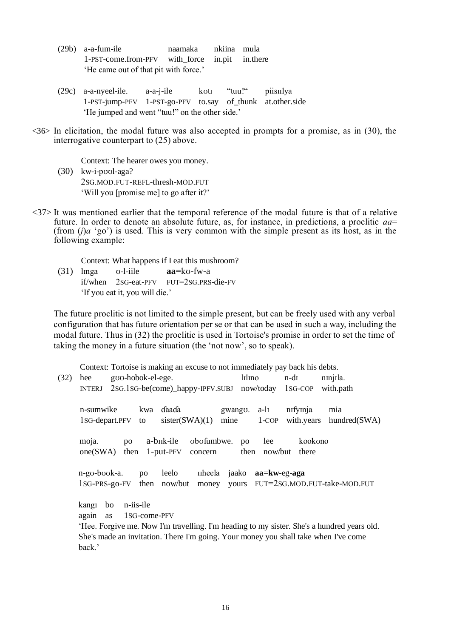- (29b) a-a-fum-ile naamaka nkiina mula 1-PST-come.from-PFV with\_force in.pit in.there 'He came out of that pit with force.'
- (29c) a-a-nyeel-ile. a-a-j-ile kʊtɪ "tuu!" piisɪɪlya 1-PST-jump-PFV 1-PST-go-PFV to.say of\_thunk at.other.side 'He jumped and went "tuu!" on the other side.'
- $\langle 36 \rangle$  In elicitation, the modal future was also accepted in prompts for a promise, as in (30), the interrogative counterpart to (25) above.

Context: The hearer owes you money.

- (30) kw-i-pʊʊl-aga? 2SG.MOD.FUT-REFL-thresh-MOD.FUT 'Will you [promise me] to go after it?'
- $\langle 37 \rangle$  It was mentioned earlier that the temporal reference of the modal future is that of a relative future. In order to denote an absolute future, as, for instance, in predictions, a proclitic *aa*= (from (*j*)*a* 'go') is used. This is very common with the simple present as its host, as in the following example:

Context: What happens if I eat this mushroom?

 $(31)$  linga v-l-iile  $aa=ko-fw-a$ if/when 2SG-eat-PFV FUT=2SG.PRS-die-FV 'If you eat it, you will die.'

The future proclitic is not limited to the simple present, but can be freely used with any verbal configuration that has future orientation per se or that can be used in such a way, including the modal future. Thus in (32) the proclitic is used in Tortoise's promise in order to set the time of taking the money in a future situation (the 'not now', so to speak).

Context: Tortoise is making an excuse to not immediately pay back his debts.

| (32) | hee               | goo-hobok-el-ege.                          |                                        |                              |                       |                 | lılıno |                  | n-di                          | nmjila.                                                                                    |  |
|------|-------------------|--------------------------------------------|----------------------------------------|------------------------------|-----------------------|-----------------|--------|------------------|-------------------------------|--------------------------------------------------------------------------------------------|--|
|      | <b>INTERJ</b>     | 2sG.1sG-be(come)_happy-IPFV.SUBJ now/today |                                        |                              |                       |                 |        | $1SG$ -COP       | with.path                     |                                                                                            |  |
|      | n-sumwike         | 1sG-depart.PFV                             | kwa<br>to                              | daada<br>sister(SWA)(1)      |                       | gwango.<br>mine |        | a-lı<br>$1$ -COP | nifyinja                      | mia<br>with.years hundred(SWA)                                                             |  |
|      | moja.<br>one(SWA) | po<br>then                                 |                                        | a-biik-ile<br>$1$ -put-PFV   | obofumbwe.<br>concern |                 | po     | lee              | kookono<br>then now/but there |                                                                                            |  |
|      |                   |                                            |                                        |                              |                       |                 |        |                  |                               |                                                                                            |  |
|      | n-go-book-a.      |                                            | po                                     | leelo                        | <b>I</b> theela       | jaako           |        | $aa=kw-eg-aga$   |                               |                                                                                            |  |
|      |                   |                                            |                                        | $1SG-PRS-go-FV$ then now/but |                       |                 |        |                  |                               | money yours FUT=2sG.MOD.FUT-take-MOD.FUT                                                   |  |
|      | kangi<br>again    | bo<br><b>as</b>                            | n-iis-ile<br>1 <sub>SG</sub> -come-PFV |                              |                       |                 |        |                  |                               |                                                                                            |  |
|      |                   |                                            |                                        |                              |                       |                 |        |                  |                               | 'Hee. Forgive me. Now I'm travelling. I'm heading to my sister. She's a hundred years old. |  |
|      |                   |                                            |                                        |                              |                       |                 |        |                  |                               | She's made an invitation. There I'm going. Your money you shall take when I've come        |  |
|      | back.'            |                                            |                                        |                              |                       |                 |        |                  |                               |                                                                                            |  |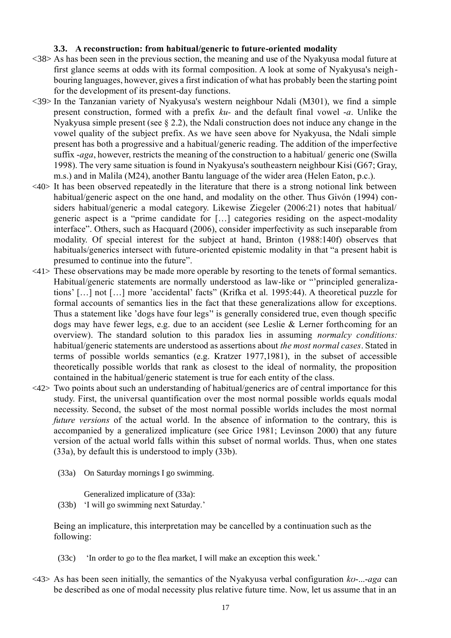#### **3.3. A reconstruction: from habitual/generic to future-oriented modality**

- <38> As has been seen in the previous section, the meaning and use of the Nyakyusa modal future at first glance seems at odds with its formal composition. A look at some of Nyakyusa's neighbouring languages, however, gives a first indication of what has probably been the starting point for the development of its present-day functions.
- <39> In the Tanzanian variety of Nyakyusa's western neighbour Ndali (M301), we find a simple present construction, formed with a prefix *ku-* and the default final vowel -*a*. Unlike the Nyakyusa simple present (see § 2.2), the Ndali construction does not induce any change in the vowel quality of the subject prefix. As we have seen above for Nyakyusa, the Ndali simple present has both a progressive and a habitual/generic reading. The addition of the imperfective suffix -*aga*, however, restricts the meaning of the construction to a habitual/ generic one (Swilla 1998). The very same situation is found in Nyakyusa's southeastern neighbour Kisi (G67; Gray, m.s.) and in Malila (M24), another Bantu language of the wider area (Helen Eaton, p.c.).
- <40> It has been observed repeatedly in the literature that there is a strong notional link between habitual/generic aspect on the one hand, and modality on the other. Thus Givón (1994) considers habitual/generic a modal category. Likewise Ziegeler (2006:21) notes that habitual/ generic aspect is a "prime candidate for […] categories residing on the aspect-modality interface". Others, such as Hacquard (2006), consider imperfectivity as such inseparable from modality. Of special interest for the subject at hand, Brinton (1988:140f) observes that habituals/generics intersect with future-oriented epistemic modality in that "a present habit is presumed to continue into the future".
- <41> These observations may be made more operable by resorting to the tenets of formal semantics. Habitual/generic statements are normally understood as law-like or "'principled generalizations' […] not […] more 'accidental' facts" (Krifka et al. 1995:44). A theoretical puzzle for formal accounts of semantics lies in the fact that these generalizations allow for exceptions. Thus a statement like 'dogs have four legs'' is generally considered true, even though specific dogs may have fewer legs, e.g. due to an accident (see Leslie & Lerner forthcoming for an overview). The standard solution to this paradox lies in assuming *normalcy conditions:*  habitual/generic statements are understood as assertions about *the most normal cases*. Stated in terms of possible worlds semantics (e.g. Kratzer 1977,1981), in the subset of accessible theoretically possible worlds that rank as closest to the ideal of normality, the proposition contained in the habitual/generic statement is true for each entity of the class.
- <42> Two points about such an understanding of habitual/generics are of central importance for this study. First, the universal quantification over the most normal possible worlds equals modal necessity. Second, the subset of the most normal possible worlds includes the most normal *future versions* of the actual world. In the absence of information to the contrary, this is accompanied by a generalized implicature (see Grice 1981; Levinson 2000) that any future version of the actual world falls within this subset of normal worlds. Thus, when one states (33a), by default this is understood to imply (33b).
	- (33a) On Saturday mornings I go swimming.

Generalized implicature of (33a): (33b) 'I will go swimming next Saturday.'

Being an implicature, this interpretation may be cancelled by a continuation such as the following:

- (33c) 'In order to go to the flea market, I will make an exception this week.'
- <43> As has been seen initially, the semantics of the Nyakyusa verbal configuration *kʊ*-...-*aga* can be described as one of modal necessity plus relative future time. Now, let us assume that in an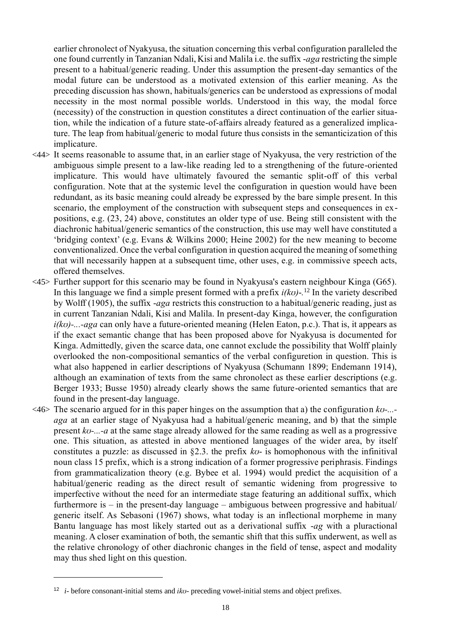earlier chronolect of Nyakyusa, the situation concerning this verbal configuration paralleled the one found currently in Tanzanian Ndali, Kisi and Malila i.e. the suffix -*aga* restricting the simple present to a habitual/generic reading. Under this assumption the present-day semantics of the modal future can be understood as a motivated extension of this earlier meaning. As the preceding discussion has shown, habituals/generics can be understood as expressions of modal necessity in the most normal possible worlds. Understood in this way, the modal force (necessity) of the construction in question constitutes a direct continuation of the earlier situation, while the indication of a future state-of-affairs already featured as a generalized implicature. The leap from habitual/generic to modal future thus consists in the semanticization of this implicature.

- <44> It seems reasonable to assume that, in an earlier stage of Nyakyusa, the very restriction of the ambiguous simple present to a law-like reading led to a strengthening of the future-oriented implicature. This would have ultimately favoured the semantic split-off of this verbal configuration. Note that at the systemic level the configuration in question would have been redundant, as its basic meaning could already be expressed by the bare simple present. In this scenario, the employment of the construction with subsequent steps and consequences in expositions, e.g. (23, 24) above, constitutes an older type of use. Being still consistent with the diachronic habitual/generic semantics of the construction, this use may well have constituted a 'bridging context' (e.g. Evans & Wilkins 2000; Heine 2002) for the new meaning to become conventionalized. Once the verbal configuration in question acquired the meaning of something that will necessarily happen at a subsequent time, other uses, e.g. in commissive speech acts, offered themselves.
- <45> Further support for this scenario may be found in Nyakyusa's eastern neighbour Kinga (G65). In this language we find a simple present formed with a prefix *i(kʊ)*-*.* <sup>12</sup> In the variety described by Wolff (1905), the suffix -*aga* restricts this construction to a habitual/generic reading, just as in current Tanzanian Ndali, Kisi and Malila. In present-day Kinga, however, the configuration *i(kʊ)-...-aga* can only have a future-oriented meaning (Helen Eaton, p.c.). That is, it appears as if the exact semantic change that has been proposed above for Nyakyusa is documented for Kinga. Admittedly, given the scarce data, one cannot exclude the possibility that Wolff plainly overlooked the non-compositional semantics of the verbal configuretion in question. This is what also happened in earlier descriptions of Nyakyusa (Schumann 1899; Endemann 1914), although an examination of texts from the same chronolect as these earlier descriptions (e.g. Berger 1933; Busse 1950) already clearly shows the same future-oriented semantics that are found in the present-day language.
- <46> The scenario argued for in this paper hinges on the assumption that a) the configuration *kʊ-... aga* at an earlier stage of Nyakyusa had a habitual/generic meaning, and b) that the simple present *kʊ-...-a* at the same stage already allowed for the same reading as well as a progressive one. This situation, as attested in above mentioned languages of the wider area, by itself constitutes a puzzle: as discussed in §2.3. the prefix *kʊ*- is homophonous with the infinitival noun class 15 prefix, which is a strong indication of a former progressive periphrasis. Findings from grammaticalization theory (e.g. Bybee et al. 1994) would predict the acquisition of a habitual/generic reading as the direct result of semantic widening from progressive to imperfective without the need for an intermediate stage featuring an additional suffix, which furthermore is – in the present-day language – ambiguous between progressive and habitual/ generic itself. As Sebasoni (1967) shows, what today is an inflectional morpheme in many Bantu language has most likely started out as a derivational suffix -*ag* with a pluractional meaning. A closer examination of both, the semantic shift that this suffix underwent, as well as the relative chronology of other diachronic changes in the field of tense, aspect and modality may thus shed light on this question.

 $\overline{a}$ 

<sup>12</sup> *i*- before consonant-initial stems and *ikʊ*- preceding vowel-initial stems and object prefixes.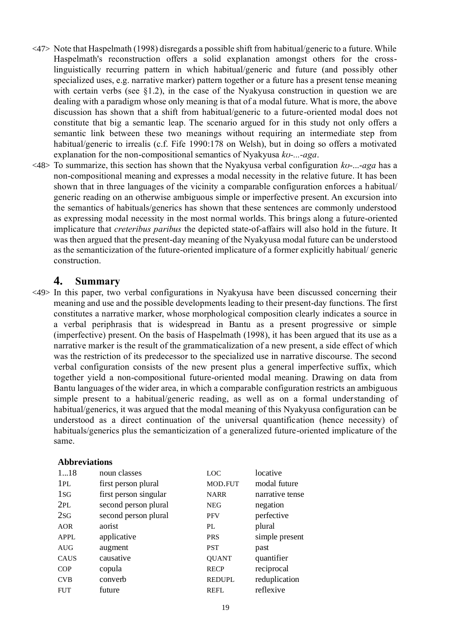- <47> Note that Haspelmath (1998) disregards a possible shift from habitual/generic to a future. While Haspelmath's reconstruction offers a solid explanation amongst others for the crosslinguistically recurring pattern in which habitual/generic and future (and possibly other specialized uses, e.g. narrative marker) pattern together or a future has a present tense meaning with certain verbs (see §1.2), in the case of the Nyakyusa construction in question we are dealing with a paradigm whose only meaning is that of a modal future. What is more, the above discussion has shown that a shift from habitual/generic to a future-oriented modal does not constitute that big a semantic leap. The scenario argued for in this study not only offers a semantic link between these two meanings without requiring an intermediate step from habitual/generic to irrealis (c.f. Fife 1990:178 on Welsh), but in doing so offers a motivated explanation for the non-compositional semantics of Nyakyusa *kʊ-...-aga*.
- <48> To summarize, this section has shown that the Nyakyusa verbal configuration *kʊ*-...-*aga* has a non-compositional meaning and expresses a modal necessity in the relative future. It has been shown that in three languages of the vicinity a comparable configuration enforces a habitual/ generic reading on an otherwise ambiguous simple or imperfective present. An excursion into the semantics of habituals/generics has shown that these sentences are commonly understood as expressing modal necessity in the most normal worlds. This brings along a future-oriented implicature that *creteribus paribus* the depicted state-of-affairs will also hold in the future. It was then argued that the present-day meaning of the Nyakyusa modal future can be understood as the semanticization of the future-oriented implicature of a former explicitly habitual/ generic construction.

### **4. Summary**

<49> In this paper, two verbal configurations in Nyakyusa have been discussed concerning their meaning and use and the possible developments leading to their present-day functions. The first constitutes a narrative marker, whose morphological composition clearly indicates a source in a verbal periphrasis that is widespread in Bantu as a present progressive or simple (imperfective) present. On the basis of Haspelmath (1998), it has been argued that its use as a narrative marker is the result of the grammaticalization of a new present, a side effect of which was the restriction of its predecessor to the specialized use in narrative discourse. The second verbal configuration consists of the new present plus a general imperfective suffix, which together yield a non-compositional future-oriented modal meaning. Drawing on data from Bantu languages of the wider area, in which a comparable configuration restricts an ambiguous simple present to a habitual/generic reading, as well as on a formal understanding of habitual/generics, it was argued that the modal meaning of this Nyakyusa configuration can be understood as a direct continuation of the universal quantification (hence necessity) of habituals/generics plus the semanticization of a generalized future-oriented implicature of the same.

#### **Abbreviations**

| noun classes          | LOC           | locative        |
|-----------------------|---------------|-----------------|
| first person plural   | MOD.FUT       | modal future    |
| first person singular | <b>NARR</b>   | narrative tense |
| second person plural  | <b>NEG</b>    | negation        |
| second person plural  | <b>PFV</b>    | perfective      |
| aorist                | PL            | plural          |
| applicative           | <b>PRS</b>    | simple present  |
| augment               | <b>PST</b>    | past            |
| causative             | <b>QUANT</b>  | quantifier      |
| copula                | <b>RECP</b>   | reciprocal      |
| converb               | <b>REDUPL</b> | reduplication   |
| future                | <b>REFL</b>   | reflexive       |
|                       |               |                 |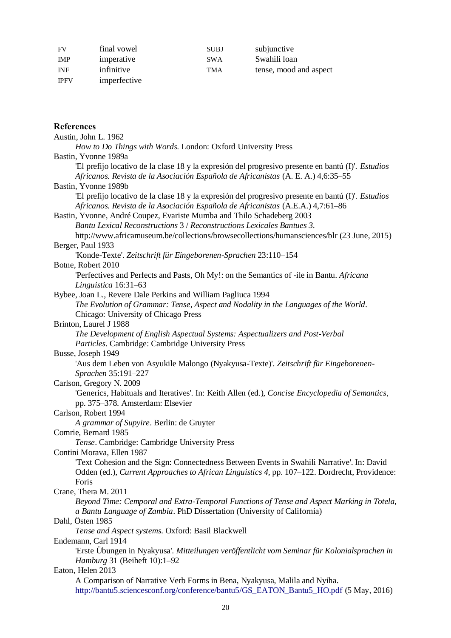| FV          | final vowel  | <b>SUBJ</b> | subjunctive            |
|-------------|--------------|-------------|------------------------|
| <b>IMP</b>  | imperative   | <b>SWA</b>  | Swahili loan           |
| <b>INF</b>  | infinitive   | TMA         | tense, mood and aspect |
| <b>IPFV</b> | imperfective |             |                        |

## **References**

| Austin, John L. 1962                                                                                             |
|------------------------------------------------------------------------------------------------------------------|
| How to Do Things with Words. London: Oxford University Press                                                     |
| Bastin, Yvonne 1989a                                                                                             |
| 'El prefijo locativo de la clase 18 y la expresión del progresivo presente en bantú (I)'. <i>Estudios</i>        |
| Africanos. Revista de la Asociación Española de Africanistas (A. E. A.) 4,6:35-55                                |
| Bastin, Yvonne 1989b                                                                                             |
| El prefijo locativo de la clase 18 y la expresión del progresivo presente en bantú (I)'. <i>Estudios</i>         |
| Africanos. Revista de la Asociación Española de Africanistas (A.E.A.) 4,7:61-86                                  |
| Bastin, Yvonne, André Coupez, Evariste Mumba and Thilo Schadeberg 2003                                           |
| Bantu Lexical Reconstructions 3 / Reconstructions Lexicales Bantues 3.                                           |
| http://www.africamuseum.be/collections/browsecollections/humansciences/blr (23 June, 2015)                       |
| Berger, Paul 1933                                                                                                |
| 'Konde-Texte'. Zeitschrift für Eingeborenen-Sprachen 23:110-154                                                  |
| Botne, Robert 2010                                                                                               |
| 'Perfectives and Perfects and Pasts, Oh My!: on the Semantics of -ile in Bantu. Africana<br>Linguistica 16:31-63 |
| Bybee, Joan L., Revere Dale Perkins and William Pagliuca 1994                                                    |
| The Evolution of Grammar: Tense, Aspect and Nodality in the Languages of the World.                              |
| Chicago: University of Chicago Press                                                                             |
| Brinton, Laurel J 1988                                                                                           |
| The Development of English Aspectual Systems: Aspectualizers and Post-Verbal                                     |
| Particles. Cambridge: Cambridge University Press                                                                 |
| Busse, Joseph 1949                                                                                               |
| 'Aus dem Leben von Asyukile Malongo (Nyakyusa-Texte)'. Zeitschrift für Eingeborenen-                             |
| Sprachen 35:191-227                                                                                              |
| Carlson, Gregory N. 2009                                                                                         |
| 'Generics, Habituals and Iteratives'. In: Keith Allen (ed.), Concise Encyclopedia of Semantics,                  |
| pp. 375–378. Amsterdam: Elsevier                                                                                 |
| Carlson, Robert 1994                                                                                             |
| A grammar of Supyire. Berlin: de Gruyter                                                                         |
| Comrie, Bernard 1985                                                                                             |
| Tense. Cambridge: Cambridge University Press                                                                     |
| Contini Morava, Ellen 1987                                                                                       |
| Text Cohesion and the Sign: Connectedness Between Events in Swahili Narrative'. In: David                        |
| Odden (ed.), Current Approaches to African Linguistics 4, pp. 107-122. Dordrecht, Providence:                    |
| Foris                                                                                                            |
| Crane, Thera M. 2011                                                                                             |
| Beyond Time: Cemporal and Extra-Temporal Functions of Tense and Aspect Marking in Totela,                        |
| a Bantu Language of Zambia. PhD Dissertation (University of California)                                          |
| Dahl, Östen 1985                                                                                                 |
| Tense and Aspect systems. Oxford: Basil Blackwell                                                                |
| Endemann, Carl 1914                                                                                              |
| 'Erste Übungen in Nyakyusa'. Mitteilungen veröffentlicht vom Seminar für Kolonialsprachen in                     |
| Hamburg 31 (Beiheft 10):1-92                                                                                     |
| Eaton, Helen 2013                                                                                                |
| A Comparison of Narrative Verb Forms in Bena, Nyakyusa, Malila and Nyiha.                                        |
| http://bantu5.sciencesconf.org/conference/bantu5/GS_EATON_Bantu5_HO.pdf (5 May, 2016)                            |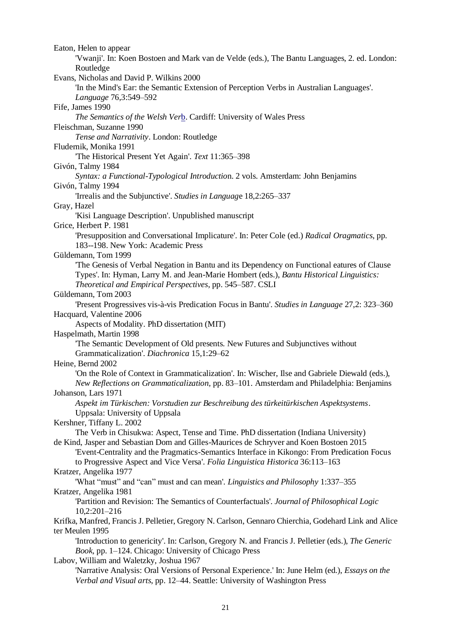Eaton, Helen to appear 'Vwanji'. In: Koen Bostoen and Mark van de Velde (eds.), The Bantu Languages, 2. ed. London: Routledge Evans, Nicholas and David P. Wilkins 2000 'In the Mind's Ear: the Semantic Extension of Perception Verbs in Australian Languages'. *Language* 76,3:549–592 Fife, James 1990 *The Semantics of the Welsh Ver*b. Cardiff: University of Wales Press Fleischman, Suzanne 1990 *Tense and Narrativity*. London: Routledge Fludernik, Monika 1991 'The Historical Present Yet Again'. *Text* 11:365–398 Givón, Talmy 1984 *Syntax: a Functional-Typological Introductio*n. 2 vols. Amsterdam: John Benjamins Givón, Talmy 1994 'Irrealis and the Subjunctive'. *Studies in Languag*e 18,2:265–337 Gray, Hazel 'Kisi Language Description'. Unpublished manuscript Grice, Herbert P. 1981 'Presupposition and Conversational Implicature'. In: Peter Cole (ed.) *Radical Oragmatics*, pp. 183--198. New York: Academic Press Güldemann, Tom 1999 'The Genesis of Verbal Negation in Bantu and its Dependency on Functional eatures of Clause Types'. In: Hyman, Larry M. and Jean-Marie Hombert (eds.), *Bantu Historical Linguistics: Theoretical and Empirical Perspectives*, pp. 545–587. CSLI Güldemann, Tom 2003 'Present Progressives vis-à-vis Predication Focus in Bantu'. *Studies in Language* 27,2: 323–360 Hacquard, Valentine 2006 Aspects of Modality. PhD dissertation (MIT) Haspelmath, Martin 1998 'The Semantic Development of Old presents. New Futures and Subjunctives without Grammaticalization'. *Diachronica* 15,1:29–62 Heine, Bernd 2002 'On the Role of Context in Grammaticalization'. In: Wischer, Ilse and Gabriele Diewald (eds.), *New Reflections on Grammaticalization,* pp. 83–101. Amsterdam and Philadelphia: Benjamins Johanson, Lars 1971 *Aspekt im Türkischen: Vorstudien zur Beschreibung des türkeitürkischen Aspektsystems*. Uppsala: University of Uppsala Kershner, Tiffany L. 2002 The Verb in Chisukwa: Aspect, Tense and Time. PhD dissertation (Indiana University) de Kind, Jasper and Sebastian Dom and Gilles-Maurices de Schryver and Koen Bostoen 2015 'Event-Centrality and the Pragmatics-Semantics Interface in Kikongo: From Predication Focus to Progressive Aspect and Vice Versa'. *Folia Linguistica Historica* 36:113–163 Kratzer, Angelika 1977 'What "must" and "can" must and can mean'. *Linguistics and Philosophy* 1:337–355 Kratzer, Angelika 1981 'Partition and Revision: The Semantics of Counterfactuals'. *Journal of Philosophical Logic* 10,2:201–216 Krifka, Manfred, Francis J. Pelletier, Gregory N. Carlson, Gennaro Chierchia, Godehard Link and Alice ter Meulen 1995 'Introduction to genericity'. In: Carlson, Gregory N. and Francis J. Pelletier (eds.), *The Generic Book,* pp. 1–124. Chicago: University of Chicago Press Labov, William and Waletzky, Joshua 1967 'Narrative Analysis: Oral Versions of Personal Experience.' In: June Helm (ed.), *Essays on the Verbal and Visual arts*, pp. 12–44. Seattle: University of Washington Press